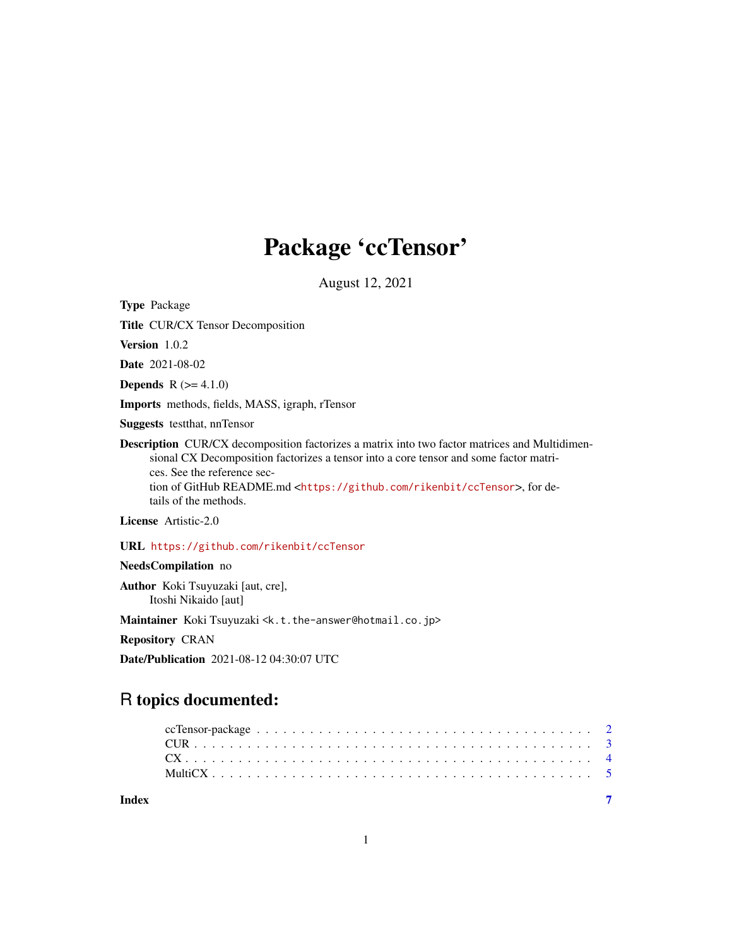## Package 'ccTensor'

August 12, 2021

Type Package

Title CUR/CX Tensor Decomposition

Version 1.0.2

Date 2021-08-02

**Depends** R  $(>= 4.1.0)$ 

Imports methods, fields, MASS, igraph, rTensor

Suggests testthat, nnTensor

Description CUR/CX decomposition factorizes a matrix into two factor matrices and Multidimensional CX Decomposition factorizes a tensor into a core tensor and some factor matrices. See the reference section of GitHub README.md <<https://github.com/rikenbit/ccTensor>>, for details of the methods.

License Artistic-2.0

URL <https://github.com/rikenbit/ccTensor>

NeedsCompilation no

Author Koki Tsuyuzaki [aut, cre], Itoshi Nikaido [aut]

Maintainer Koki Tsuyuzaki <k.t.the-answer@hotmail.co.jp>

Repository CRAN

Date/Publication 2021-08-12 04:30:07 UTC

### R topics documented: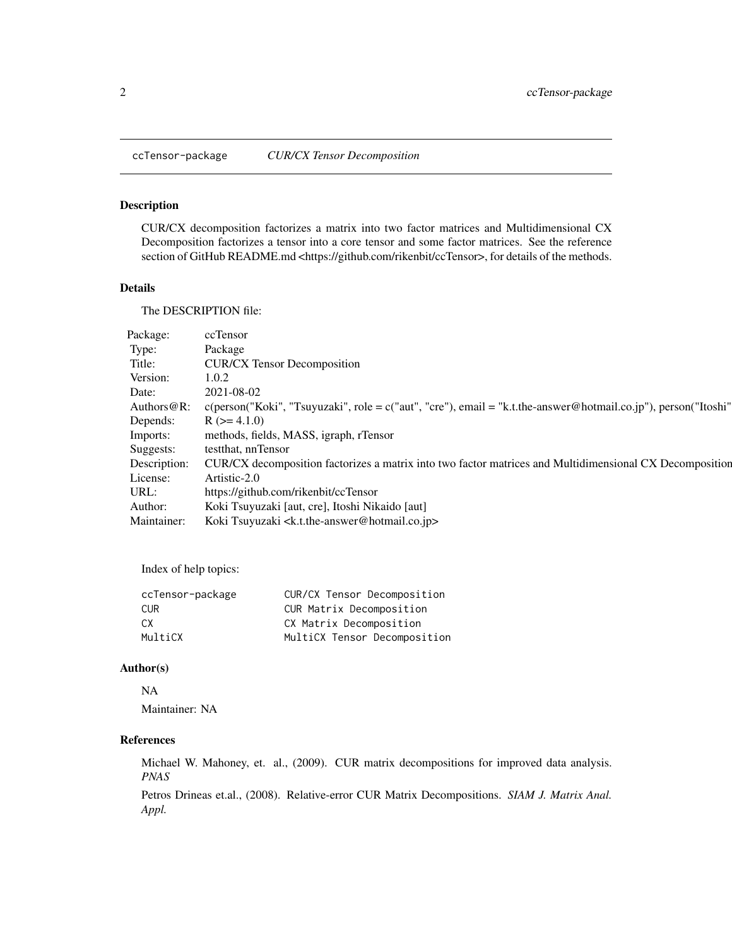<span id="page-1-0"></span>

#### Description

CUR/CX decomposition factorizes a matrix into two factor matrices and Multidimensional CX Decomposition factorizes a tensor into a core tensor and some factor matrices. See the reference section of GitHub README.md <https://github.com/rikenbit/ccTensor>, for details of the methods.

#### Details

The DESCRIPTION file:

| Package:     | ccTensor                                                                                                                   |
|--------------|----------------------------------------------------------------------------------------------------------------------------|
| Type:        | Package                                                                                                                    |
| Title:       | <b>CUR/CX Tensor Decomposition</b>                                                                                         |
| Version:     | 1.0.2                                                                                                                      |
| Date:        | 2021-08-02                                                                                                                 |
|              | Authors @R: c(person("Koki", "Tsuyuzaki", role = c("aut", "cre"), email = "k.t.the-answer@hotmail.co.jp"), person("Itoshi" |
| Depends:     | $R$ ( $>= 4.1.0$ )                                                                                                         |
| Imports:     | methods, fields, MASS, igraph, rTensor                                                                                     |
| Suggests:    | testthat, nnTensor                                                                                                         |
| Description: | CUR/CX decomposition factorizes a matrix into two factor matrices and Multidimensional CX Decomposition                    |
| License:     | Artistic-2.0                                                                                                               |
| URL:         | https://github.com/rikenbit/ccTensor                                                                                       |
| Author:      | Koki Tsuyuzaki [aut, cre], Itoshi Nikaido [aut]                                                                            |
| Maintainer:  | Koki Tsuyuzaki <k.t.the-answer@hotmail.co.jp></k.t.the-answer@hotmail.co.jp>                                               |

Index of help topics:

| ccTensor-package | CUR/CX Tensor Decomposition  |
|------------------|------------------------------|
| CUR.             | CUR Matrix Decomposition     |
| CX.              | CX Matrix Decomposition      |
| MultiCX          | MultiCX Tensor Decomposition |

#### Author(s)

#### NA

Maintainer: NA

#### References

Michael W. Mahoney, et. al., (2009). CUR matrix decompositions for improved data analysis. *PNAS*

Petros Drineas et.al., (2008). Relative-error CUR Matrix Decompositions. *SIAM J. Matrix Anal. Appl.*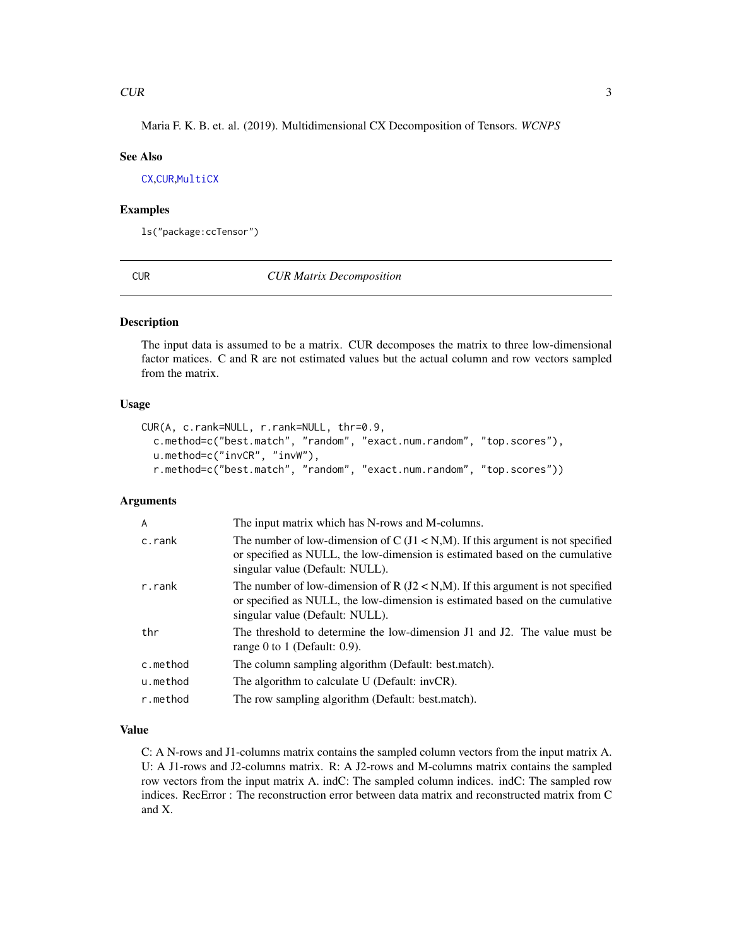<span id="page-2-0"></span>Maria F. K. B. et. al. (2019). Multidimensional CX Decomposition of Tensors. *WCNPS*

#### See Also

[CX](#page-3-1),[CUR](#page-2-1),[MultiCX](#page-4-1)

#### Examples

ls("package:ccTensor")

<span id="page-2-1"></span>CUR *CUR Matrix Decomposition*

#### Description

The input data is assumed to be a matrix. CUR decomposes the matrix to three low-dimensional factor matices. C and R are not estimated values but the actual column and row vectors sampled from the matrix.

#### Usage

```
CUR(A, c.rank=NULL, r.rank=NULL, thr=0.9,
  c.method=c("best.match", "random", "exact.num.random", "top.scores"),
  u.method=c("invCR", "invW"),
  r.method=c("best.match", "random", "exact.num.random", "top.scores"))
```
#### Arguments

| $\overline{A}$ | The input matrix which has N-rows and M-columns.                                                                                                                                                     |
|----------------|------------------------------------------------------------------------------------------------------------------------------------------------------------------------------------------------------|
| c.rank         | The number of low-dimension of C $(J1 < N,M)$ . If this argument is not specified<br>or specified as NULL, the low-dimension is estimated based on the cumulative<br>singular value (Default: NULL). |
| r.rank         | The number of low-dimension of R $(J2 < N,M)$ . If this argument is not specified<br>or specified as NULL, the low-dimension is estimated based on the cumulative<br>singular value (Default: NULL). |
| thr            | The threshold to determine the low-dimension J1 and J2. The value must be<br>range 0 to 1 (Default: $0.9$ ).                                                                                         |
| c.method       | The column sampling algorithm (Default: best.match).                                                                                                                                                 |
| u.method       | The algorithm to calculate U (Default: invCR).                                                                                                                                                       |
| r.method       | The row sampling algorithm (Default: best.match).                                                                                                                                                    |

#### Value

C: A N-rows and J1-columns matrix contains the sampled column vectors from the input matrix A. U: A J1-rows and J2-columns matrix. R: A J2-rows and M-columns matrix contains the sampled row vectors from the input matrix A. indC: The sampled column indices. indC: The sampled row indices. RecError : The reconstruction error between data matrix and reconstructed matrix from C and X.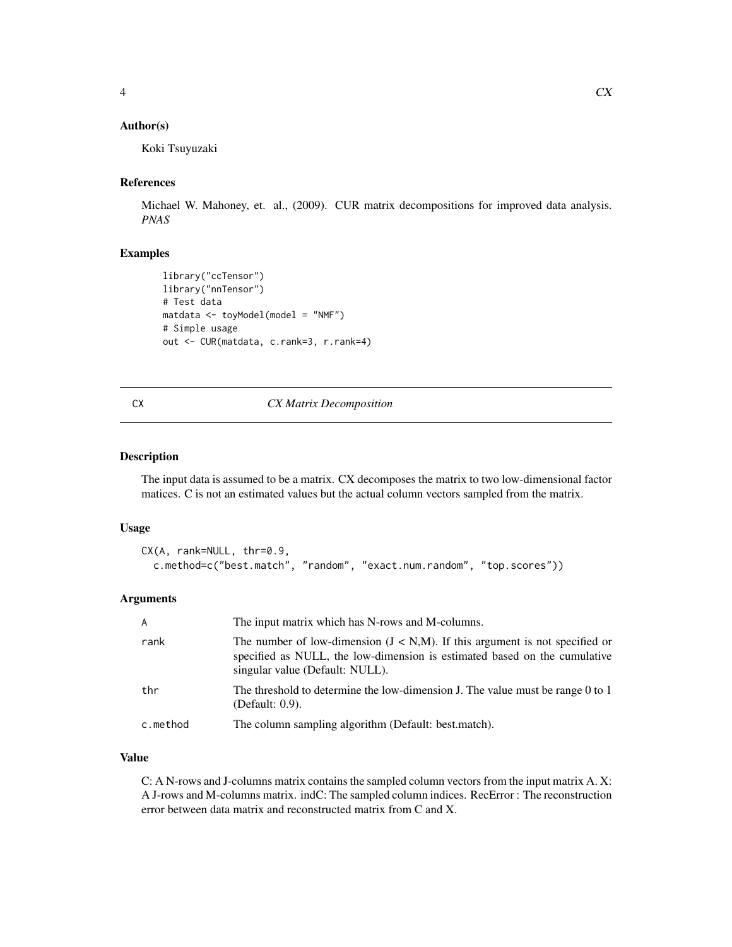#### <span id="page-3-0"></span>Author(s)

Koki Tsuyuzaki

#### References

Michael W. Mahoney, et. al., (2009). CUR matrix decompositions for improved data analysis. *PNAS*

#### Examples

```
library("ccTensor")
library("nnTensor")
# Test data
matdata <- toyModel(model = "NMF")
# Simple usage
out <- CUR(matdata, c.rank=3, r.rank=4)
```
#### <span id="page-3-1"></span>CX *CX Matrix Decomposition*

#### Description

The input data is assumed to be a matrix. CX decomposes the matrix to two low-dimensional factor matices. C is not an estimated values but the actual column vectors sampled from the matrix.

#### Usage

```
CX(A, rank=NULL, thr=0.9,
  c.method=c("best.match", "random", "exact.num.random", "top.scores"))
```
#### Arguments

| $\mathsf{A}$ | The input matrix which has N-rows and M-columns.                                                                                                                                               |
|--------------|------------------------------------------------------------------------------------------------------------------------------------------------------------------------------------------------|
| rank         | The number of low-dimension $(J < N,M)$ . If this argument is not specified or<br>specified as NULL, the low-dimension is estimated based on the cumulative<br>singular value (Default: NULL). |
| thr          | The threshold to determine the low-dimension J. The value must be range 0 to 1<br>(Default: 0.9).                                                                                              |
| c.method     | The column sampling algorithm (Default: best.match).                                                                                                                                           |

#### Value

C: A N-rows and J-columns matrix contains the sampled column vectors from the input matrix A. X: A J-rows and M-columns matrix. indC: The sampled column indices. RecError : The reconstruction error between data matrix and reconstructed matrix from C and X.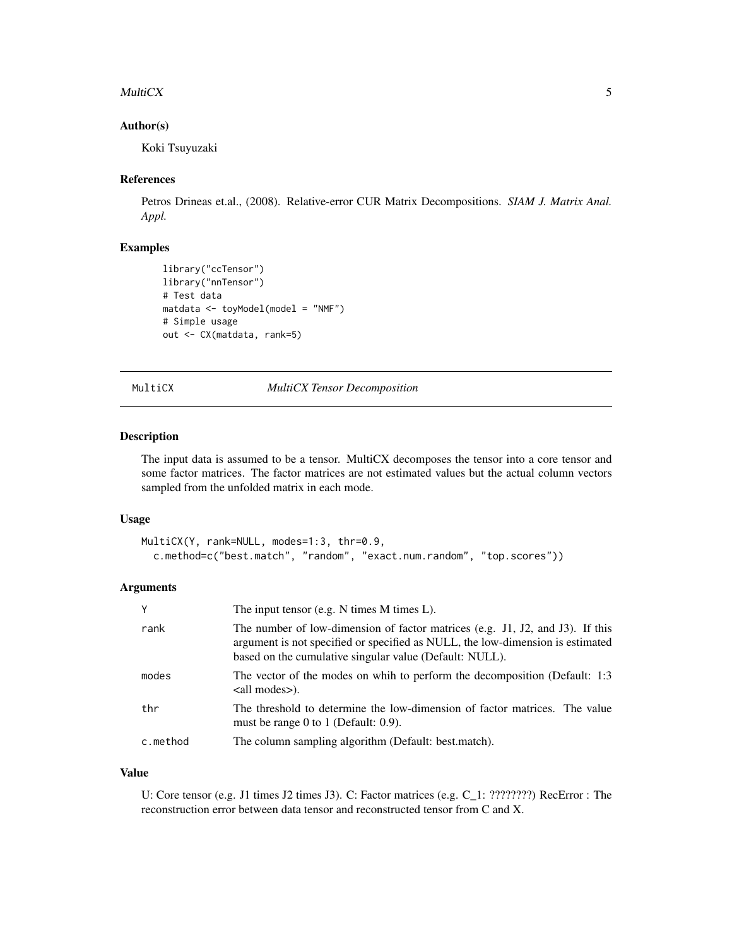#### <span id="page-4-0"></span> $\mathbf{Multic}$   $\mathbf{X}$   $\mathbf{S}$   $\mathbf{S}$   $\mathbf{S}$   $\mathbf{S}$   $\mathbf{S}$   $\mathbf{S}$   $\mathbf{S}$   $\mathbf{S}$   $\mathbf{S}$   $\mathbf{S}$   $\mathbf{S}$   $\mathbf{S}$   $\mathbf{S}$   $\mathbf{S}$   $\mathbf{S}$   $\mathbf{S}$   $\mathbf{S}$   $\mathbf{S}$   $\mathbf{S}$   $\mathbf{S}$   $\mathbf{S}$   $\mathbf{S}$   $\mathbf$

#### Author(s)

Koki Tsuyuzaki

#### References

Petros Drineas et.al., (2008). Relative-error CUR Matrix Decompositions. *SIAM J. Matrix Anal. Appl.*

#### Examples

```
library("ccTensor")
library("nnTensor")
# Test data
matdata <- toyModel(model = "NMF")
# Simple usage
out <- CX(matdata, rank=5)
```
<span id="page-4-1"></span>MultiCX *MultiCX Tensor Decomposition*

#### Description

The input data is assumed to be a tensor. MultiCX decomposes the tensor into a core tensor and some factor matrices. The factor matrices are not estimated values but the actual column vectors sampled from the unfolded matrix in each mode.

#### Usage

```
MultiCX(Y, rank=NULL, modes=1:3, thr=0.9,
  c.method=c("best.match", "random", "exact.num.random", "top.scores"))
```
#### Arguments

| Υ        | The input tensor (e.g. $N$ times $M$ times $L$ ).                                                                                                                                                                          |  |
|----------|----------------------------------------------------------------------------------------------------------------------------------------------------------------------------------------------------------------------------|--|
| rank     | The number of low-dimension of factor matrices (e.g. J1, J2, and J3). If this<br>argument is not specified or specified as NULL, the low-dimension is estimated<br>based on the cumulative singular value (Default: NULL). |  |
| modes    | The vector of the modes on whih to perform the decomposition (Default: 1:3)<br><all modes="">).</all>                                                                                                                      |  |
| thr      | The threshold to determine the low-dimension of factor matrices. The value<br>must be range 0 to 1 (Default: $0.9$ ).                                                                                                      |  |
| c.method | The column sampling algorithm (Default: best.match).                                                                                                                                                                       |  |

#### Value

U: Core tensor (e.g. J1 times J2 times J3). C: Factor matrices (e.g. C\_1: ????????) RecError : The reconstruction error between data tensor and reconstructed tensor from C and X.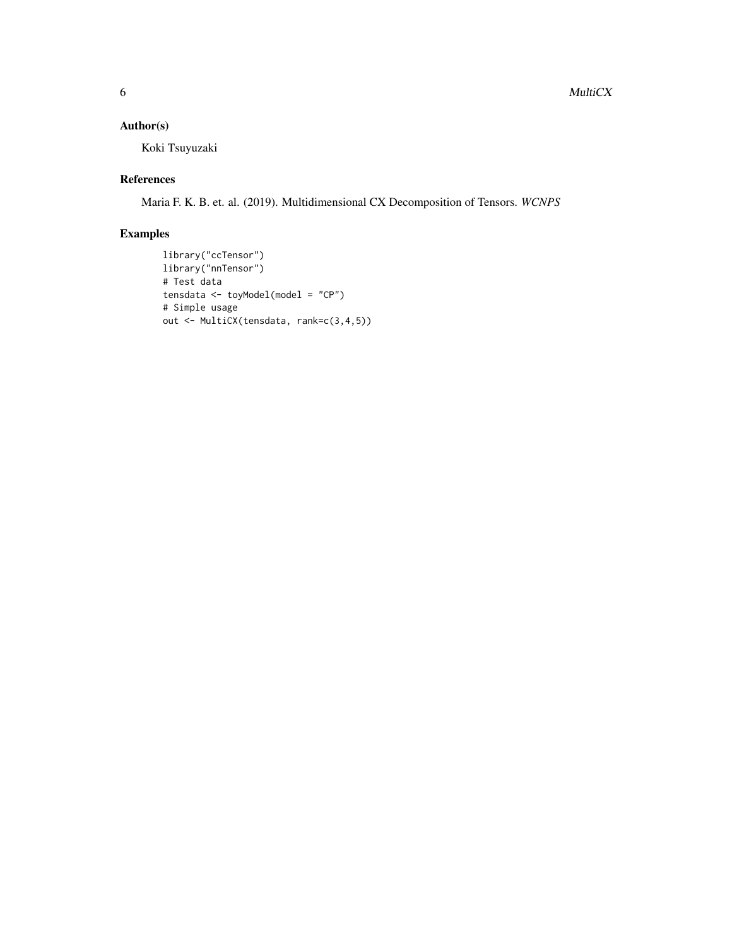#### Author(s)

Koki Tsuyuzaki

#### References

Maria F. K. B. et. al. (2019). Multidimensional CX Decomposition of Tensors. *WCNPS*

#### Examples

```
library("ccTensor")
library("nnTensor")
# Test data
tensdata <- toyModel(model = "CP")
# Simple usage
out <- MultiCX(tensdata, rank=c(3,4,5))
```